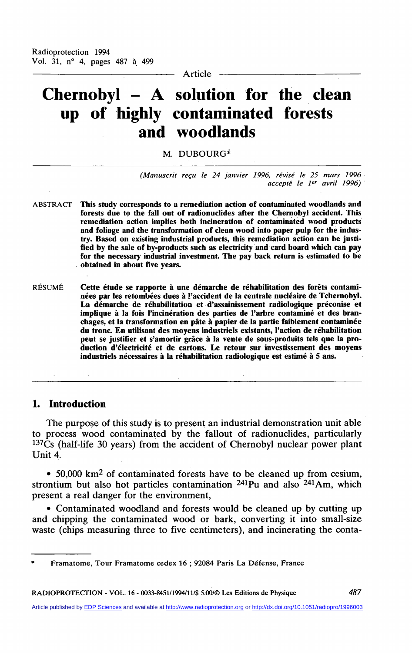**Article** 

# **Chernobyl - A solution for the clean up of highly contaminated forests and woodlands**

## M. DUBOURG\*

*(Manuscrit reçu le 24 janvier 1996, révisé le 25 mars 1996 accepté le 1er avril 1996)* 

- **ABSTRACT This study corresponds to a remediation action of contaminated woodlands and forests due to the fall out of radionuclides after the Chernobyl accident. This**  remediation action implies both incineration of contaminated wood products **and foliage and the transformation of clean wood into paper pulp for the industry. Based on existing industrial products, this remediation action can be justîfied by the sale of by-products such as electricity and card board which can pay for the necessary industrial investment. The pay back return is estimated to be obtained in about five years.**
- **RÉSUMÉ Cette étude se rapporte à une démarche de réhabilitation des forêts contaminées par les retombées dues à l'accident de la centrale nucléaire de Tchernobyl. La démarche de réhabilitation et d'assainissement radiologique préconise et implique à la fois l'incinération des parties de l'arbre contaminé et des branchages, et la transformation en pâte à papier de la partie faiblement contaminée du tronc En utilisant des moyens industriels existants, l'action de réhabilitation peut se justifier et s'amortir grâce à la vente de sous-produits tels que la production d'électricité et de cartons. Le retour sur investissement des moyens industriels nécessaires à la réhabilitation radiologique est estimé à 5 ans.**

## **1. Introduction**

The purpose of this study is to present an industrial demonstration unit able **to process wood contaminated by the fallout of radionuclides, particularly <sup>137</sup> C s (half-life 30 years) from the accident of Chernobyl nuclear power plant Unit 4,** 

• 50,000 km<sup>2</sup> of contaminated forests have to be cleaned up from cesium, **strontium but also hot particles contamination <sup>241</sup> P u and also <sup>241</sup> A m , which**  present a real danger for the environment,

**• Contaminated woodland and forests would be cleaned up by cutting up and chipping the contaminated wood or bark, converting it into small-size**  waste (chips measuring three to five centimeters), and incinerating the conta-

**RADIOPROTECTION - VOL. 16 - 0033-8451/1994/11/\$ 5.00/© Les Editions de Physique** *487* 

**Framatome, Tour Framatome cedex 16 ; 92084 Paris La Défense, France**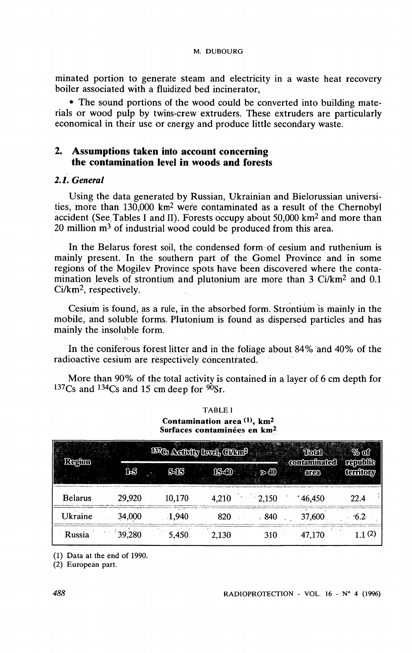**minated portion to generate steam and electricity in a waste heat recovery boiler associated with a fluidized bed incinerator,** 

**• The sound portions of the wood could be converted into building mate**rials or wood pulp by twins-crew extruders. These extruders are particularly **economical in their use or energy and produce little secondary waste.** 

# 2. **Assumptions taken into account concerning the contamination level in woods and forests**

## *2.1. General*

**Using the data generated by Russian, Ukrainian and Bielorussian universities, more than 130,000 km<sup>2</sup> were contaminated as a resuit of the Chernobyl accident (See. Tables I and II). Forests occupy about 50,000 km<sup>2</sup> and more than**  20 million m<sup>3</sup> of industrial wood could be produced from this area.

In the Belarus forest soil, the condensed form of cesium and ruthenium is mainly present. In the southern part of the Gomel Province and in some regions of the Mogilev Province spots have been discovered where the conta**mination levels of strontium and plutonium are more than 3 Ci/km<sup>2</sup> and 0.1 Ci**/km<sup>2</sup> , **respectively.** 

Cesium is found, as a rule, in the absorbed form. Strontium is mainly in the **mobile, and soluble forms. Plutonium is found as dispersed particles and has mainly the insoluble form.** 

**In the coniferous forest litter and in the foliage about 84% ârid 40% of the**  radioactive cesium are respectively concentrated.

**More than 90% of the total activity is contained in a layer of 6 cm depth for <sup>137</sup> C s and <sup>134</sup> C s and 15 cm deep for <sup>90</sup>Sr.** 

| Contamination area $(1)$ , km <sup>2</sup><br>Surfaces contaminées en km <sup>2</sup> |        |                                |       |       |                              |                      |  |  |
|---------------------------------------------------------------------------------------|--------|--------------------------------|-------|-------|------------------------------|----------------------|--|--|
| Region                                                                                |        | 197 Cs Andriffy Hevel, Clair 2 | Total | % of  |                              |                      |  |  |
|                                                                                       | 16     | $S-1S$                         | 15-40 | ுி    | contaminated<br><b>enced</b> | republic<br>Conflory |  |  |
| <b>Belarus</b>                                                                        | 29,920 | 10,170                         | 4.210 | 2.150 | 46,450                       | 22.4                 |  |  |
| Ukraine                                                                               | 34,000 | 1,940                          | 820   | 840   | 37,600                       | .6.2                 |  |  |
| Russia                                                                                | 39,280 | 5,450                          | 2,130 | 310   | 47.170                       | 1.1(2)               |  |  |

**TABLE I** 

**(1) Data at the end of 1990.** 

**(2) European part.**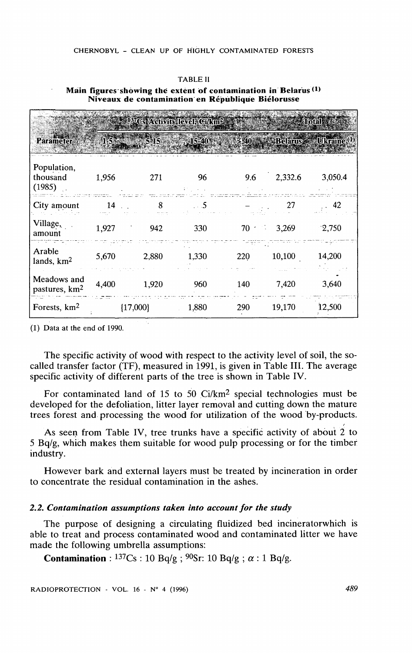#### CHERNOBYL - CLEAN UP OF HIGHLY CONTAMINATED FORESTS

| $=$ 197 $\mathrm{Cs}$ Activity level, Gi/km <sup>2</sup><br><b>Alotal</b> |       |            |          |     |                      |         |  |
|---------------------------------------------------------------------------|-------|------------|----------|-----|----------------------|---------|--|
| <b>Parameter</b>                                                          |       | $5-15$     | $15-40$  |     | >:40 Relatus Ukraine |         |  |
| Population,<br>thousand<br>(1985)                                         | 1,956 | 271        | 96       | 9.6 | 2,332.6              | 3,050.4 |  |
| City amount                                                               | 14    | 8          | $\sim$ 5 |     | 27                   | 42      |  |
| Village,<br>amount                                                        | 1,927 | 942        | 330      | 70  | 3,269                | 2,750   |  |
| Arable<br>lands, km <sup>2</sup>                                          | 5,670 | 2,880      | 1,330    | 220 | 10,100               | 14,200  |  |
| Meadows and<br>pastures, km <sup>2</sup>                                  | 4,400 | 1,920      | 960      | 140 | 7,420                | 3,640   |  |
| Forests, km <sup>2</sup>                                                  |       | ${17,000}$ | 1,880    | 290 | 19,170               | 12,500  |  |

Main figures showing the extent of contamination in Belarus<sup>(1)</sup> Niveaux de contamination en République Biélorusse

**TABLE II** 

 $(1)$  Data at the end of 1990.

The specific activity of wood with respect to the activity level of soil, the socalled transfer factor (TF), measured in 1991, is given in Table III. The average specific activity of different parts of the tree is shown in Table IV.

For contaminated land of 15 to 50  $Ci/km^2$  special technologies must be developed for the defoliation, litter layer removal and cutting down the mature trees forest and processing the wood for utilization of the wood by-products.

As seen from Table IV, tree trunks have a specific activity of about 2 to  $5$  Bq/g, which makes them suitable for wood pulp processing or for the timber industry.

However bark and external layers must be treated by incineration in order to concentrate the residual contamination in the ashes.

## 2.2. Contamination assumptions taken into account for the study

The purpose of designing a circulating fluidized bed incinerator which is able to treat and process contaminated wood and contaminated litter we have made the following umbrella assumptions:

**Contamination**:  $137Cs : 10 Bq/g$ ;  $90Sr$ : 10 Bq/g;  $\alpha : 1 Bq/g$ .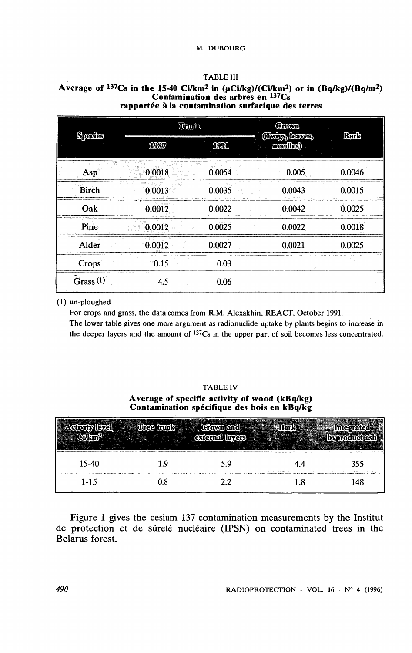#### **TABLE III**

#### Average of <sup>137</sup>Cs in the 15-40 Ci/km<sup>2</sup> in (µCi/kg)/(Ci/km<sup>2</sup>) or in (Bq/kg)/(Bq/m<sup>2</sup>) **Contamination des arbres en <sup>137</sup> C s rapporté e à la contamination surfacique de s terres**

| Species      | Tionk  |            | Grown<br>(Thiles, leaves, | Bark   |  |
|--------------|--------|------------|---------------------------|--------|--|
|              | 1037   | <b>IDM</b> | medler)                   |        |  |
| Asp          | 0.0018 | 0.0054     | 0.005                     | 0.0046 |  |
| <b>Birch</b> | 0.0013 | 0.0035     | 0.0043                    | 0.0015 |  |
| Oak          | 0.0012 | 0.0022     | 0.0042                    | 0.0025 |  |
| Pine         | 0.0012 | 0.0025     | 0.0022                    | 0.0018 |  |
| Alder        | 0.0012 | 0.0027     | 0.0021                    | 0.0025 |  |
| Crops        | 0.15   | 0.03       |                           |        |  |
| Grass $(1)$  | 4.5    | 0.06       |                           |        |  |

## **(1) un-ploughed**

For crops and grass, the data comes from R.M. Alexakhin, REACT, October 1991.

**The lower table gives one more argument as radionuclide uptake by plants begins to increase in the deeper layers and the amount of <sup>137</sup>Cs in the upper part of soil becomes less concentrated.** 

#### **TABLE IV**  Average of specific activity of wood (kBq/kg) **Contamination spécifique des bois en kBq/kg**

|         |     | Ciown and<br>external layers |     |                                                                    |
|---------|-----|------------------------------|-----|--------------------------------------------------------------------|
| $15-40$ | າ ບ | 5.9                          |     | 355<br><b>CONTINUOUS CONTINUES IN THE ANGLOS CONTINUES.</b>        |
| $1-15$  | 0.8 | 2.2.                         | 1.8 | the Charles and Statement's companies of the country of the<br>148 |

Figure 1 gives the cesium 137 contamination measurements by the Institut **de protection et de sûreté nucléaire (IPSN) on contaminated trees in the Belarus forest.**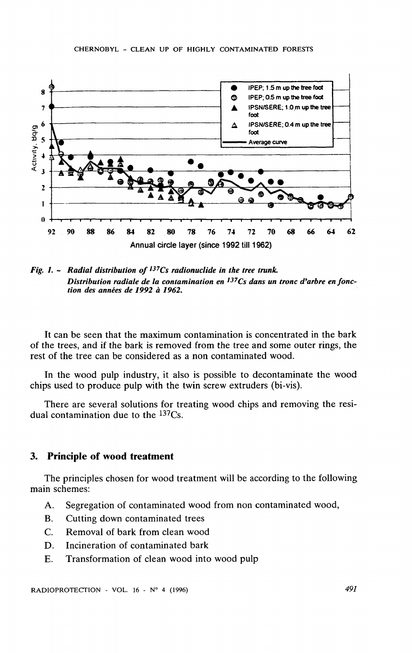

*Fig. 1. - Radial distribution of137Cs radionuclide in the tree trunk. Distribution radiale de la contamination en I37Cs dans un tronc d'arbre en fonction des années de 1992 à 1962.* 

**It can be seen that the maximum contamination is concentrated in the bark of the trees, and if the bark is removed from the tree and some outer rings, the rest of the tree can be considered as a non contaminated wood.** 

**In the wood pulp industry, it also is possible to decontaminate the wood chips used to produce pulp with the twin screw extruders (bi-vis).** 

**There are several solutions for treating wood chips and removing the residual contamination due to the <sup>137</sup> C s.** 

## 3. **Principle of wood treatment**

**The principles chosen for wood treatment will be according to the following main schemes:** 

- A. Segregation of contaminated wood from non contaminated wood,
- **B. Cutting down contaminated trees**
- **C. Removal of bark from clean wood**
- **D.** Incineration of contaminated bark
- **E. Transformation of clean wood into wood pulp**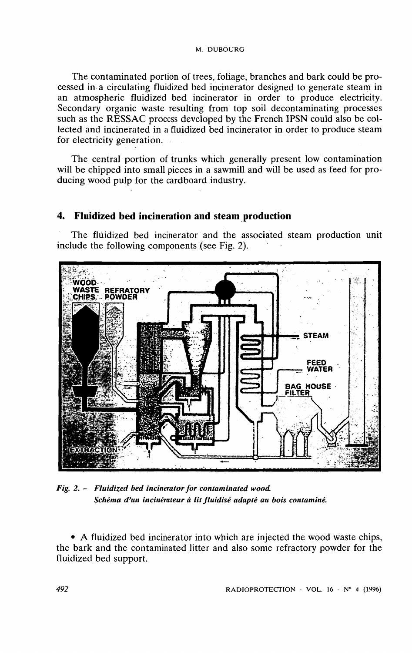**The contaminated portion of trees, foliage, branches and bark could be processed in a circulating fluidized bed incinerator designed to generate steam in an atmospheric fluidized bed incinerator in order to produce electricity. Secondary organic waste resulting from top soil decontaminating processes such as the RESSAC process developed by the French IPSN could also be collected and incinerated in a fluidized bed incinerator in order to produce steam**  for electricity generation.

The central portion of trunks which generally present low contamination will be chipped into small pieces in a sawmill and will be used as feed for pro**ducing wood pulp for the cardboard industry.** 

# **4. Fluidized bed incinération and steam production**

**The fluidized bed incinerator and the associated steam production unit include the following components (see Fig. 2).** 



*Fig. 2. - Fluidized bed incinerator for contaminated wood. Schéma d'un incinérateur à lit fluidisé adapté au bois contaminé.* 

**• A fluidized bed incinerator into which are injected the wood waste chips, the bark and the contaminated litter and also some refractory powder for the fluidized bed support.**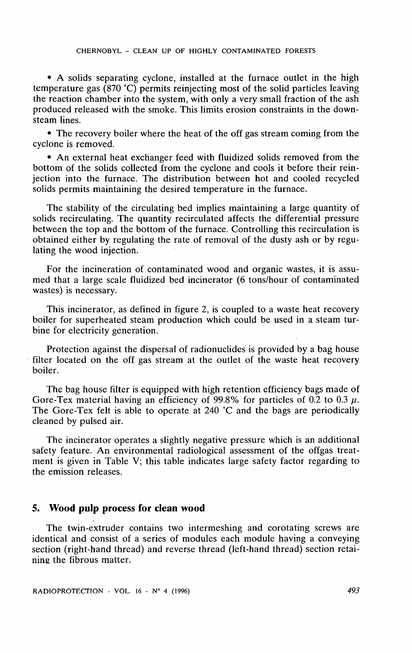**• A solids separating cyclone, installed at the furnace outlet in the high température gas (870 °C) permits reinjecting most of the solid particles leaving the reaction chamber into the System , with only a very small fraction of the ash produced released with the smoke. This limits érosion constraints in the down**steam lines.

**• The recovery boiler where the heat of the off gas stream coming from the cyclone is removed.** 

**• An external heat exchanger feed with fluidized solids removed from the bottom of the solids collected from the cyclone and cools it before their reinjection into the furnace. The distribution between hot and cooled recycled**  solids permits maintaining the desired temperature in the furnace.

**The stability of the circulating bed implies maintaining a large quantity of solids recirculating. The quantity recirculated affects the differential pressure between the top and the bottom of the furnace. Controlling this recirculation is obtained either by regulating the rate of removal of the dusty ash or by regulating the wood injection.** 

For the incineration of contaminated wood and organic wastes, it is assu**med that a large scale fluidized bed incinerator (6 tons/hour of contaminated wastes) is necessary.** 

**This incinerator, as defined in figure 2, is coupled to a waste heat recovery boiler for superheated steam production which could be used in a steam tur**bine for electricity generation.

**Protection against the dispersai of radionuclides is provided by a bag house filter located on the off gas stream at the outlet of the waste heat recovery boiler.** 

The bag house filter is equipped with high retention efficiency bags made of Gore-Tex material having an efficiency of 99.8% for particles of 0.2 to 0.3  $\mu$ . **The Gore-Tex felt is able to operate at 240 °C and the bags are periodically cleaned by pulsed air.** 

The incinerator operates a slightly negative pressure which is an additional safety feature. An environmental radiological assessment of the offgas treat**ment is given in Table V; this table indicates large safety factor regarding to the émission releases.** 

## 5. **Wood pulp process for clean wood**

**The twin-extruder contains two intermeshing and corotating screws are identical and consist of a séries of modules each module having a conveying section (right-hand thread) and reverse thread (left-hand thread) section retainine the fibrous matter.**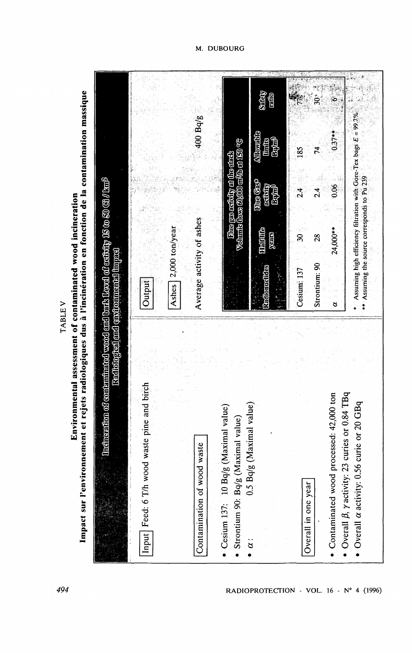Environmental assessment of contaminated wood incineration<br>Impact sur l'environnement et rejets radiologiques dus à l'incinération en fonction de la contamination massique

**TABLEV** 

| contaminated wood and bark Level of activity 19 to 50 $\times$ 01 $\times$ m <sup>2</sup><br>Radiological and environmental linpact | Jutput                                         | 2,000 ton/year<br>Ashes | 400 Bq/g<br>Average activity of ashes | Volume Aoxs ChOOO m\$Ab at 150 °C<br>Time gas activity at the stads       | SHEAT<br>rido<br>Allowable<br>Expred<br><b>Chrift</b> s<br>Due Cas <sup>o</sup><br>activity<br>Eque <sup>3</sup><br><b>Thickite</b><br><b>FEEE</b><br>Radionnelides | $\hat{\mathbf{S}}$<br>185<br>74<br>$\frac{4}{2}$<br>$\frac{4}{3}$<br>್ಲ<br>28<br>Strontium: 90<br>Cesium: 137 | $\delta$<br>$0.37**$<br>80.0<br>24,000 **<br>8                                                                          | Assuming high efficiency filtration with Gore-Tex bags E = 99.7%<br>*** Assuming the source corresponds to Pu 239 |
|-------------------------------------------------------------------------------------------------------------------------------------|------------------------------------------------|-------------------------|---------------------------------------|---------------------------------------------------------------------------|---------------------------------------------------------------------------------------------------------------------------------------------------------------------|---------------------------------------------------------------------------------------------------------------|-------------------------------------------------------------------------------------------------------------------------|-------------------------------------------------------------------------------------------------------------------|
| Incineration of                                                                                                                     | birch<br>Input Feed: 6 T/h wood waste pine and |                         | Contamination of wood waste           | Cesium 137: 10 Bq/g (Maximal value)<br>Strontium 90: Bq/g (Maximal value) | $0.5$ Bq/g (Maximal value)<br>$\mathbf{\hat{a}}$                                                                                                                    | Overall in one year                                                                                           | <b>Bq</b><br>$\mathbf{ion}$<br>Overall $\beta$ , y activity: 23 curies or 0.84 I<br>Contaminated wood processed: 42,000 | Overall $\alpha$ activity: 0.56 curie or 20 GBo                                                                   |

M. DUBOURG

RADIOPROTECTION - VOL. 16 - Nº 4 (1996)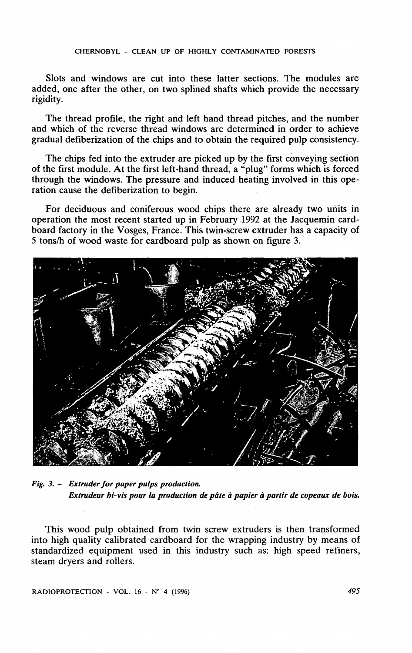Slots and windows are cut into these latter sections. The modules are **added, one after the other, on two splined shafts which provide the necessary rigidity.** 

**The thread profile, the right and left hand thread pitches, and the number and which of the reverse thread Windows are determined in order to achieve graduai defiberization of the chips and to obtain the required pulp consistency.** 

**The chips fed into the extruder are picked up by the first conveying section of the first module. At the first left-hand thread, a "plug" forms which is forced through the Windows. The pressure and induced heating involved in this operation cause the defiberization to begin.** 

For deciduous and coniferous wood chips there are already two units in operation the most recent started up in February 1992 at the Jacquemin card**board factory in the Vosges, France. This twin-screw extruder has a capacity of 5 tons/h of wood waste for cardboard pulp as shown on figure 3.** 



*Fig. 3. - Extruder for paper pulps production. Extrudeur bi-vis pour la production de pâte à papier à partir de copeaux de bois.* 

**This wood pulp obtained from twin screw extruders is then transformed into high quality calibrated cardboard for the wrapping industry by means of standardized equipment used in this industry such as: high speed refiners, steam dryers and rollers.** 

**RADIOPROTECTION - VOL. 16 - N° 4 (1996)** *495*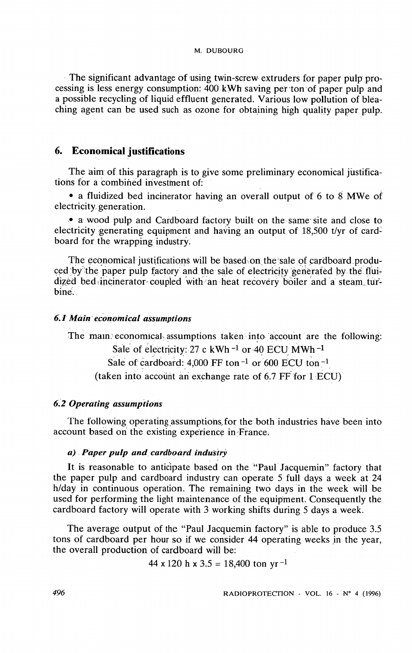**The significant advantage of using twin-screw extruders for paper pulp processing is less energy consumption: 400 kWh saving per ton of paper pulp and a possible recycling of liquid effluent generated. Various low pollution of bléaching agent can be used such as ozone for obtaining high quality paper pulp.** 

## 6. **Economical justifications**

**The aim of this paragraph is to give some preliminary economical justifica**tions for a combined investment of:

**• a fluidized bed incinerator having an overall output of 6 to 8 MWe of electricity. génération.** 

**• a wood pulp and Cardboard factory built on the same site and close to electricity generating equipment and having an output of 18,500 t/yr of cardboard for the wrapping industry.** 

**The economical justifications will be based on the sale of cardboard produced by the paper pulp factory and the sale of electricity generated by the flui**dized bed incinerator coupled with an heat recovery boiler and a steam tur**bine.** 

## *6.1 Main economical assumptions*

**The main, economical-assumptions taken into account are the following:**  Sale of electricity: 27 c kWh <sup>-1</sup> or 40 ECU MWh <sup>-1</sup> Sale of cardboard: 4,000 FF ton<sup>-1</sup> or 600 ECU ton<sup>-1</sup> **(taken into account an exchange rate of 6.7 FF for 1 ECU)** 

## *6.2 Opérating assumptions*

**The following operating assumptions. for the both industries have beên into account based on the existing expérience in France.** 

## *a) Paper pulp and cardboard industry*

**It is reasonable to anticipate based on the "Paul Jacquemin" factory that the paper pulp and cardboard industry can operate 5 full days a week at 24**  h/day in continuous operation. The remaining two days in the week will be **used for performing the light maintenance of the equipment. Consequently the cardboard factory will operate with 3 working shifts during 5 days a week.** 

**The average output of the "Paul Jacquemin factory" is able to produce 3.5 tons of cardboard per hour so if we consider 44 operating weeks in the year, the overall production of cardboard will be:** 

$$
44 \times 120 \text{ h} \times 3.5 = 18,400 \text{ ton yr}^{-1}
$$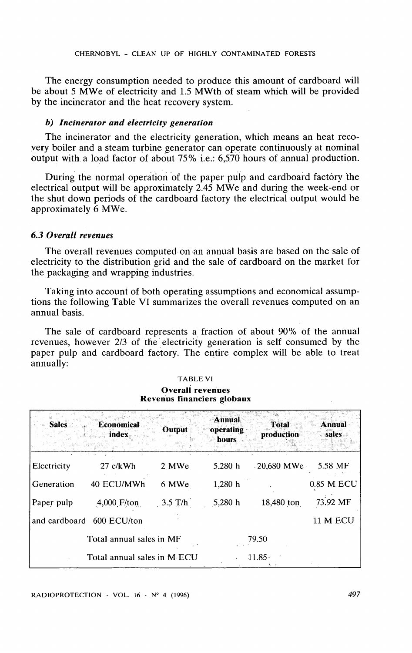**The energy consumption needed to produce this amount of cardboard will be about 5 MWe of electricity and 1.5 MWth of steam which will be provided by the incinerator and the heat recovery System.** 

#### *b) Incinerator and electricity génération*

The incinerator and the electricity generation, which means an heat reco**very boiler and a steam turbine generator can operate continuously at nominal output with a load factor of about 75% i.e.: 6,5,70 hours of.annual production.** 

During the normal operation of the paper pulp and cardboard factory the **electrical output will be approximately 2.45 MWe and during the week-end or the shut down periods of the cardboard factory the electrical output would be approximately 6 MWe.** 

#### *6.3 Overall revenues*

**The overall revenues computed on an annual basis are based on the sale of electricity to the distribution grid and the sale of cardboard on the market for the packaging and wrapping industries.** 

**Taking into account of both operating assumptions and economical assumptions the following Table VI summarizes the overall revenues computed on an annual basis.** 

**The sale of cardboard represents a fraction of about 90% of the annual**  revenues, however 2/3 of the electricity generation is self consumed by the **paper pulp and cardboard factory. The entire complex will be able to treat annually:** 

| <b>Sales</b>  | <b>Economical</b><br>index  | Output    | <b>Annual</b><br>operating<br><b>hours</b> | <b>Total</b><br>production | <b>Annual</b><br>sales |
|---------------|-----------------------------|-----------|--------------------------------------------|----------------------------|------------------------|
| Electricity   | $27$ c/kWh                  | 2 MWe     | 5,280 h                                    | $-20,680$ MWe              | 5.58 MF                |
| Generation    | 40 ECU/MWh                  | 6 MWe     | 1,280 h                                    |                            | 0.85 M ECU             |
| Paper pulp    | $4,000$ F/ton               | $3.5$ T/h | 5,280 h                                    | 18,480 ton                 | 73.92 MF               |
| and cardboard | 600 ECU/ton                 |           |                                            |                            | <b>11 M ECU</b>        |
|               | Total annual sales in MF    |           |                                            | 79.50                      |                        |
|               | Total annual sales in M ECU |           |                                            | $11.85 -$                  |                        |

#### **TABLE VI Overall revenues Revenu s financiers globaux**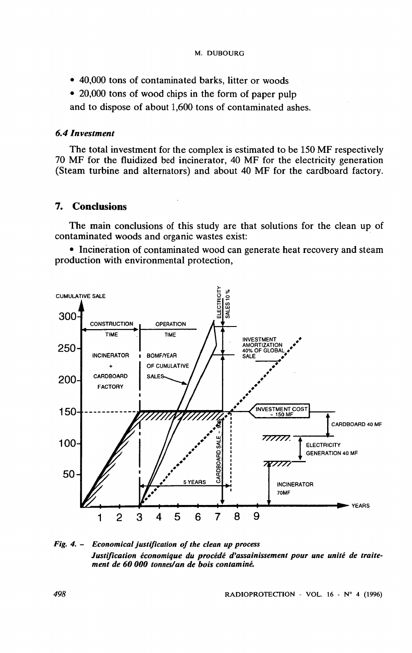- **40,000 tons of contaminated barks, litter or woods**
- **20,000 tons of wood chips in the form of paper pulp**

**and to dispose of about 1,600 tons of contaminated ashes.** 

## *6.4 Investment*

**The total investment for the complex is estimated to be 150 MF respectively**  70 MF for the fluidized bed incinerator, 40 MF for the electricity generation **(Steam turbine and alternators) and about 40 MF for the cardboard factory.** 

## **7. Conclusions**

**The main conclusions of this study are that solutions for the clean up of contaminated woods and organic wastes exist:** 

• Incineration of contaminated wood can generate heat recovery and steam **production with environmental protection,** 



*Fig. 4. - Economical justification of the clean up process Justification économique du procédé d'assainissement pour une unité de traitement de 60 000 tonnes/an de bois contaminé.*